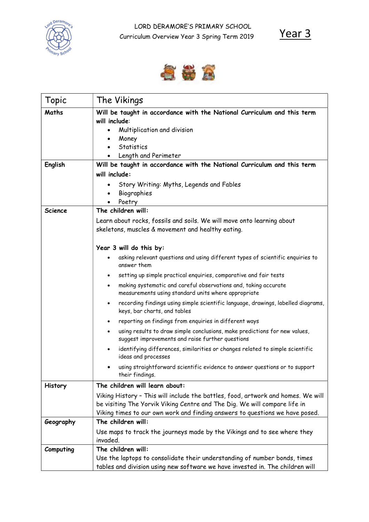

Year 3



| Topic          | The Vikings                                                                                                                                                                                                                                   |
|----------------|-----------------------------------------------------------------------------------------------------------------------------------------------------------------------------------------------------------------------------------------------|
| Maths          | Will be taught in accordance with the National Curriculum and this term<br>will include:<br>Multiplication and division<br>Money<br>Statistics<br>Length and Perimeter                                                                        |
| English        | Will be taught in accordance with the National Curriculum and this term                                                                                                                                                                       |
|                | will include:<br>Story Writing: Myths, Legends and Fables<br>Biographies<br>Poetry                                                                                                                                                            |
| <b>Science</b> | The children will:                                                                                                                                                                                                                            |
|                | Learn about rocks, fossils and soils. We will move onto learning about<br>skeletons, muscles & movement and healthy eating.                                                                                                                   |
|                | Year 3 will do this by:                                                                                                                                                                                                                       |
|                | asking relevant questions and using different types of scientific enquiries to<br>answer them                                                                                                                                                 |
|                | setting up simple practical enquiries, comparative and fair tests<br>$\bullet$                                                                                                                                                                |
|                | making systematic and careful observations and, taking accurate<br>$\bullet$<br>measurements using standard units where appropriate                                                                                                           |
|                | recording findings using simple scientific language, drawings, labelled diagrams,<br>keys, bar charts, and tables                                                                                                                             |
|                | reporting on findings from enquiries in different ways                                                                                                                                                                                        |
|                | using results to draw simple conclusions, make predictions for new values,<br>suggest improvements and raise further questions                                                                                                                |
|                | identifying differences, similarities or changes related to simple scientific<br>ideas and processes                                                                                                                                          |
|                | using straightforward scientific evidence to answer questions or to support<br>their findings.                                                                                                                                                |
| History        | The children will learn about:                                                                                                                                                                                                                |
|                | Viking History - This will include the battles, food, artwork and homes. We will<br>be visiting The Yorvik Viking Centre and The Dig. We will compare life in<br>Viking times to our own work and finding answers to questions we have posed. |
| Geography      | The children will:                                                                                                                                                                                                                            |
|                | Use maps to track the journeys made by the Vikings and to see where they<br>invaded.                                                                                                                                                          |
| Computing      | The children will:                                                                                                                                                                                                                            |
|                | Use the laptops to consolidate their understanding of number bonds, times<br>tables and division using new software we have invested in. The children will                                                                                    |